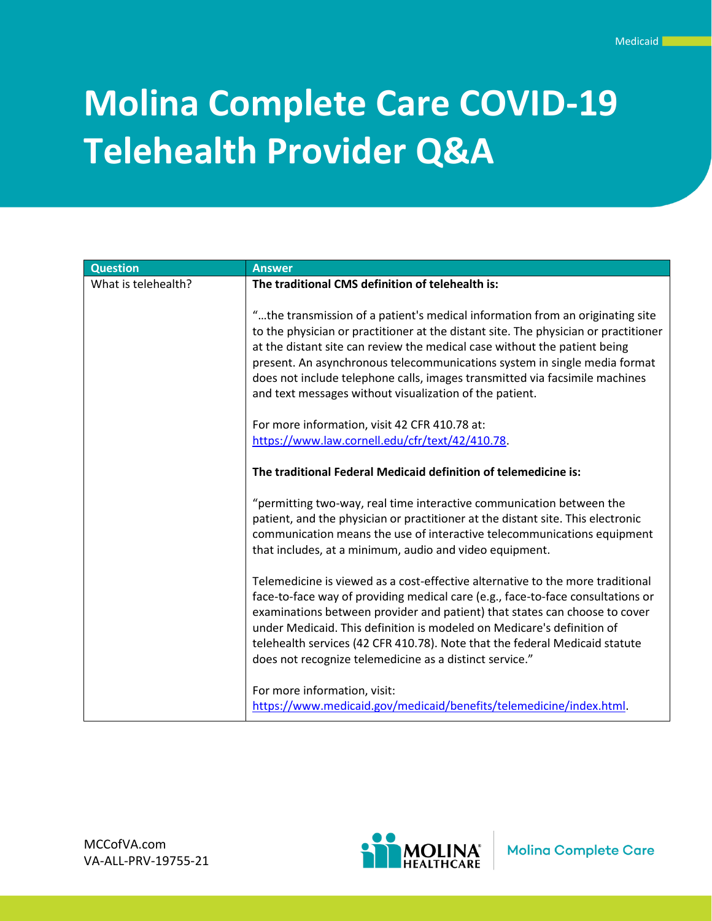# **Molina Complete Care COVID-19 Telehealth Provider Q&A**

| <b>Question</b>     | <b>Answer</b>                                                                                                                                                                                                                                                                                                                                                                                                                                                            |
|---------------------|--------------------------------------------------------------------------------------------------------------------------------------------------------------------------------------------------------------------------------------------------------------------------------------------------------------------------------------------------------------------------------------------------------------------------------------------------------------------------|
| What is telehealth? | The traditional CMS definition of telehealth is:                                                                                                                                                                                                                                                                                                                                                                                                                         |
|                     | "the transmission of a patient's medical information from an originating site<br>to the physician or practitioner at the distant site. The physician or practitioner<br>at the distant site can review the medical case without the patient being<br>present. An asynchronous telecommunications system in single media format<br>does not include telephone calls, images transmitted via facsimile machines<br>and text messages without visualization of the patient. |
|                     | For more information, visit 42 CFR 410.78 at:                                                                                                                                                                                                                                                                                                                                                                                                                            |
|                     | https://www.law.cornell.edu/cfr/text/42/410.78.                                                                                                                                                                                                                                                                                                                                                                                                                          |
|                     | The traditional Federal Medicaid definition of telemedicine is:                                                                                                                                                                                                                                                                                                                                                                                                          |
|                     | "permitting two-way, real time interactive communication between the<br>patient, and the physician or practitioner at the distant site. This electronic<br>communication means the use of interactive telecommunications equipment<br>that includes, at a minimum, audio and video equipment.                                                                                                                                                                            |
|                     | Telemedicine is viewed as a cost-effective alternative to the more traditional<br>face-to-face way of providing medical care (e.g., face-to-face consultations or<br>examinations between provider and patient) that states can choose to cover<br>under Medicaid. This definition is modeled on Medicare's definition of<br>telehealth services (42 CFR 410.78). Note that the federal Medicaid statute<br>does not recognize telemedicine as a distinct service."      |
|                     | For more information, visit:<br>https://www.medicaid.gov/medicaid/benefits/telemedicine/index.html.                                                                                                                                                                                                                                                                                                                                                                      |

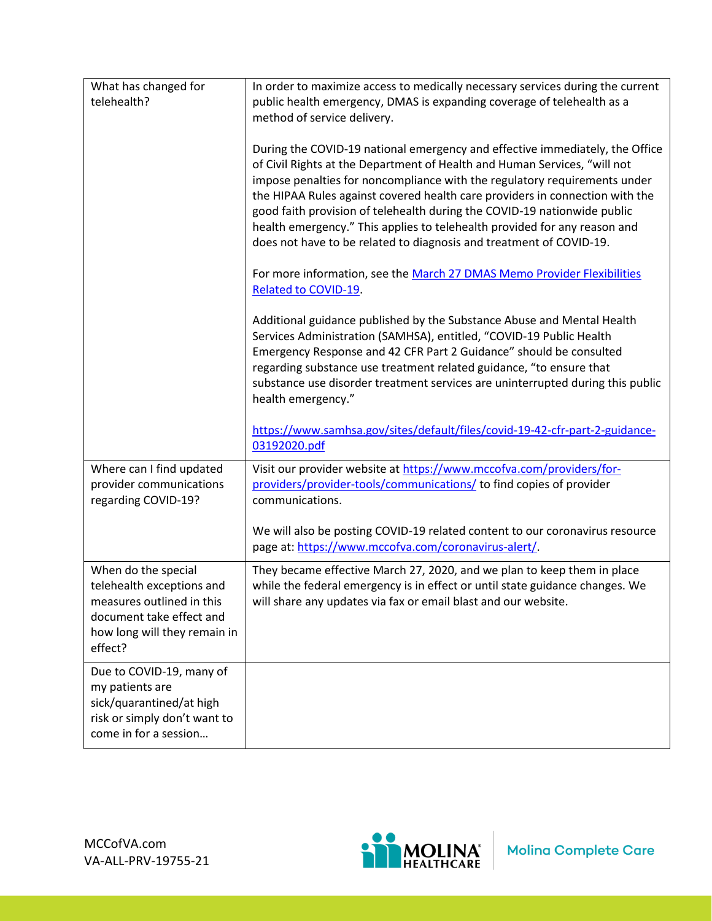| What has changed for<br>telehealth?                                                                                                                  | In order to maximize access to medically necessary services during the current<br>public health emergency, DMAS is expanding coverage of telehealth as a<br>method of service delivery.                                                                                                                                                                                                                                                                                                                                                                |
|------------------------------------------------------------------------------------------------------------------------------------------------------|--------------------------------------------------------------------------------------------------------------------------------------------------------------------------------------------------------------------------------------------------------------------------------------------------------------------------------------------------------------------------------------------------------------------------------------------------------------------------------------------------------------------------------------------------------|
|                                                                                                                                                      | During the COVID-19 national emergency and effective immediately, the Office<br>of Civil Rights at the Department of Health and Human Services, "will not<br>impose penalties for noncompliance with the regulatory requirements under<br>the HIPAA Rules against covered health care providers in connection with the<br>good faith provision of telehealth during the COVID-19 nationwide public<br>health emergency." This applies to telehealth provided for any reason and<br>does not have to be related to diagnosis and treatment of COVID-19. |
|                                                                                                                                                      | For more information, see the March 27 DMAS Memo Provider Flexibilities<br>Related to COVID-19.                                                                                                                                                                                                                                                                                                                                                                                                                                                        |
|                                                                                                                                                      | Additional guidance published by the Substance Abuse and Mental Health<br>Services Administration (SAMHSA), entitled, "COVID-19 Public Health<br>Emergency Response and 42 CFR Part 2 Guidance" should be consulted<br>regarding substance use treatment related guidance, "to ensure that<br>substance use disorder treatment services are uninterrupted during this public<br>health emergency."                                                                                                                                                     |
|                                                                                                                                                      | https://www.samhsa.gov/sites/default/files/covid-19-42-cfr-part-2-guidance-<br>03192020.pdf                                                                                                                                                                                                                                                                                                                                                                                                                                                            |
| Where can I find updated<br>provider communications<br>regarding COVID-19?                                                                           | Visit our provider website at https://www.mccofva.com/providers/for-<br>providers/provider-tools/communications/ to find copies of provider<br>communications.                                                                                                                                                                                                                                                                                                                                                                                         |
|                                                                                                                                                      | We will also be posting COVID-19 related content to our coronavirus resource<br>page at: https://www.mccofva.com/coronavirus-alert/.                                                                                                                                                                                                                                                                                                                                                                                                                   |
| When do the special<br>telehealth exceptions and<br>measures outlined in this<br>document take effect and<br>how long will they remain in<br>effect? | They became effective March 27, 2020, and we plan to keep them in place<br>while the federal emergency is in effect or until state guidance changes. We<br>will share any updates via fax or email blast and our website.                                                                                                                                                                                                                                                                                                                              |
| Due to COVID-19, many of<br>my patients are<br>sick/quarantined/at high<br>risk or simply don't want to<br>come in for a session                     |                                                                                                                                                                                                                                                                                                                                                                                                                                                                                                                                                        |

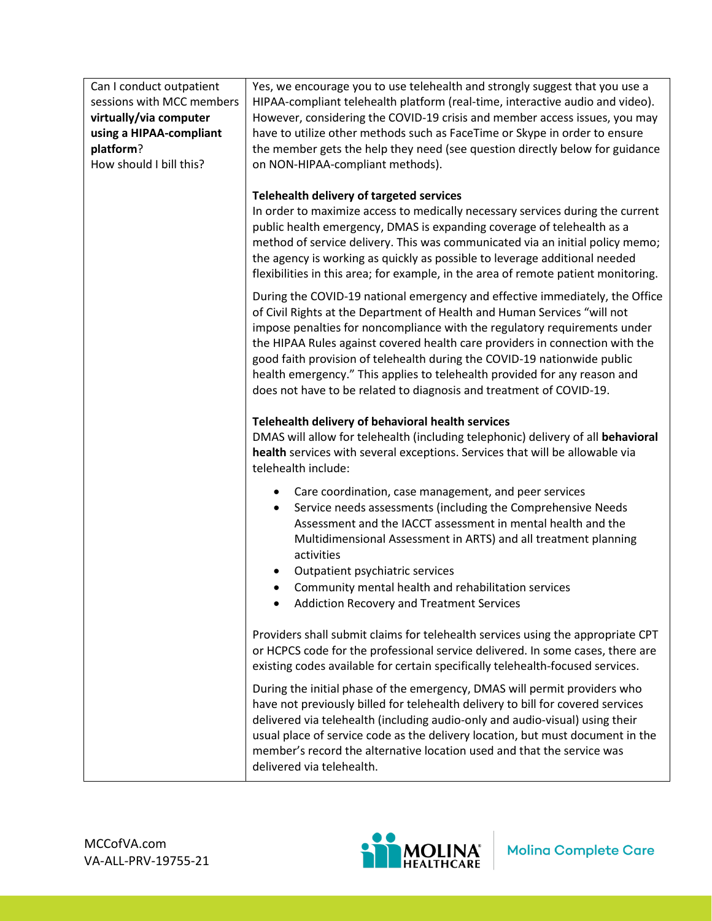| Can I conduct outpatient<br>sessions with MCC members<br>virtually/via computer<br>using a HIPAA-compliant<br>platform?<br>How should I bill this? | Yes, we encourage you to use telehealth and strongly suggest that you use a<br>HIPAA-compliant telehealth platform (real-time, interactive audio and video).<br>However, considering the COVID-19 crisis and member access issues, you may<br>have to utilize other methods such as FaceTime or Skype in order to ensure<br>the member gets the help they need (see question directly below for guidance<br>on NON-HIPAA-compliant methods).                                                                                                          |  |
|----------------------------------------------------------------------------------------------------------------------------------------------------|-------------------------------------------------------------------------------------------------------------------------------------------------------------------------------------------------------------------------------------------------------------------------------------------------------------------------------------------------------------------------------------------------------------------------------------------------------------------------------------------------------------------------------------------------------|--|
|                                                                                                                                                    | Telehealth delivery of targeted services<br>In order to maximize access to medically necessary services during the current<br>public health emergency, DMAS is expanding coverage of telehealth as a<br>method of service delivery. This was communicated via an initial policy memo;<br>the agency is working as quickly as possible to leverage additional needed<br>flexibilities in this area; for example, in the area of remote patient monitoring.                                                                                             |  |
|                                                                                                                                                    | During the COVID-19 national emergency and effective immediately, the Office<br>of Civil Rights at the Department of Health and Human Services "will not<br>impose penalties for noncompliance with the regulatory requirements under<br>the HIPAA Rules against covered health care providers in connection with the<br>good faith provision of telehealth during the COVID-19 nationwide public<br>health emergency." This applies to telehealth provided for any reason and<br>does not have to be related to diagnosis and treatment of COVID-19. |  |
|                                                                                                                                                    | Telehealth delivery of behavioral health services<br>DMAS will allow for telehealth (including telephonic) delivery of all behavioral<br>health services with several exceptions. Services that will be allowable via<br>telehealth include:                                                                                                                                                                                                                                                                                                          |  |
|                                                                                                                                                    | Care coordination, case management, and peer services<br>Service needs assessments (including the Comprehensive Needs<br>$\bullet$<br>Assessment and the IACCT assessment in mental health and the<br>Multidimensional Assessment in ARTS) and all treatment planning<br>activities<br>Outpatient psychiatric services                                                                                                                                                                                                                                |  |
|                                                                                                                                                    | Community mental health and rehabilitation services<br>$\bullet$<br><b>Addiction Recovery and Treatment Services</b>                                                                                                                                                                                                                                                                                                                                                                                                                                  |  |
|                                                                                                                                                    | Providers shall submit claims for telehealth services using the appropriate CPT<br>or HCPCS code for the professional service delivered. In some cases, there are<br>existing codes available for certain specifically telehealth-focused services.                                                                                                                                                                                                                                                                                                   |  |
|                                                                                                                                                    | During the initial phase of the emergency, DMAS will permit providers who<br>have not previously billed for telehealth delivery to bill for covered services<br>delivered via telehealth (including audio-only and audio-visual) using their<br>usual place of service code as the delivery location, but must document in the<br>member's record the alternative location used and that the service was<br>delivered via telehealth.                                                                                                                 |  |

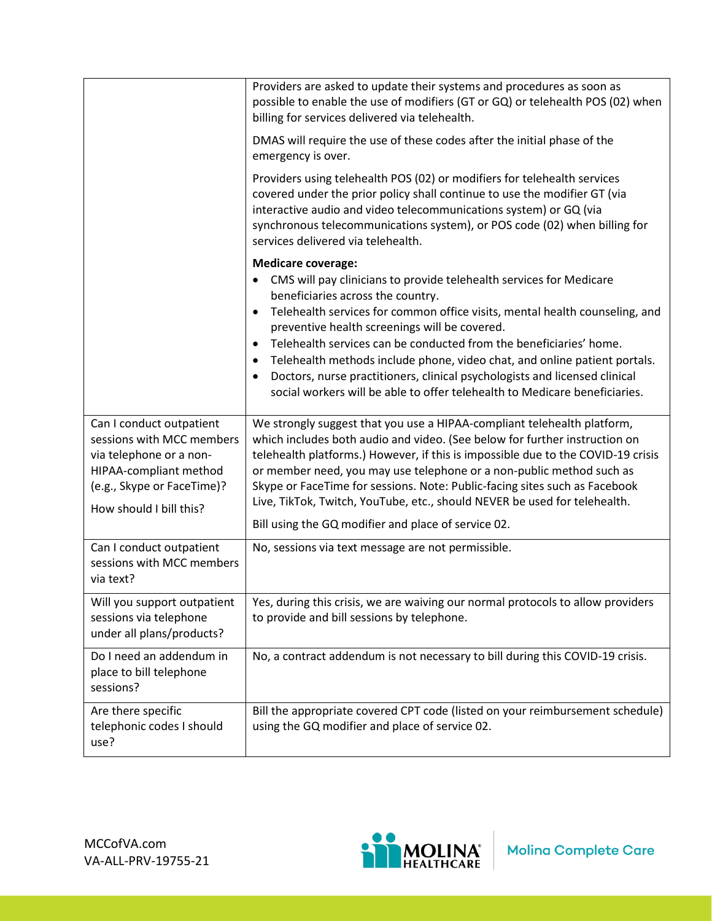|                                                                                                                                                                     | Providers are asked to update their systems and procedures as soon as<br>possible to enable the use of modifiers (GT or GQ) or telehealth POS (02) when<br>billing for services delivered via telehealth.                                                                                                                                                                                                                                                                                                                                                                                                      |
|---------------------------------------------------------------------------------------------------------------------------------------------------------------------|----------------------------------------------------------------------------------------------------------------------------------------------------------------------------------------------------------------------------------------------------------------------------------------------------------------------------------------------------------------------------------------------------------------------------------------------------------------------------------------------------------------------------------------------------------------------------------------------------------------|
|                                                                                                                                                                     | DMAS will require the use of these codes after the initial phase of the<br>emergency is over.                                                                                                                                                                                                                                                                                                                                                                                                                                                                                                                  |
|                                                                                                                                                                     | Providers using telehealth POS (02) or modifiers for telehealth services<br>covered under the prior policy shall continue to use the modifier GT (via<br>interactive audio and video telecommunications system) or GQ (via<br>synchronous telecommunications system), or POS code (02) when billing for<br>services delivered via telehealth.                                                                                                                                                                                                                                                                  |
|                                                                                                                                                                     | <b>Medicare coverage:</b><br>CMS will pay clinicians to provide telehealth services for Medicare<br>beneficiaries across the country.<br>Telehealth services for common office visits, mental health counseling, and<br>preventive health screenings will be covered.<br>Telehealth services can be conducted from the beneficiaries' home.<br>$\bullet$<br>Telehealth methods include phone, video chat, and online patient portals.<br>$\bullet$<br>Doctors, nurse practitioners, clinical psychologists and licensed clinical<br>social workers will be able to offer telehealth to Medicare beneficiaries. |
| Can I conduct outpatient<br>sessions with MCC members<br>via telephone or a non-<br>HIPAA-compliant method<br>(e.g., Skype or FaceTime)?<br>How should I bill this? | We strongly suggest that you use a HIPAA-compliant telehealth platform,<br>which includes both audio and video. (See below for further instruction on<br>telehealth platforms.) However, if this is impossible due to the COVID-19 crisis<br>or member need, you may use telephone or a non-public method such as<br>Skype or FaceTime for sessions. Note: Public-facing sites such as Facebook<br>Live, TikTok, Twitch, YouTube, etc., should NEVER be used for telehealth.<br>Bill using the GQ modifier and place of service 02.                                                                            |
| Can I conduct outpatient<br>sessions with MCC members<br>via text?                                                                                                  | No, sessions via text message are not permissible.                                                                                                                                                                                                                                                                                                                                                                                                                                                                                                                                                             |
| Will you support outpatient<br>sessions via telephone<br>under all plans/products?                                                                                  | Yes, during this crisis, we are waiving our normal protocols to allow providers<br>to provide and bill sessions by telephone.                                                                                                                                                                                                                                                                                                                                                                                                                                                                                  |
| Do I need an addendum in<br>place to bill telephone<br>sessions?                                                                                                    | No, a contract addendum is not necessary to bill during this COVID-19 crisis.                                                                                                                                                                                                                                                                                                                                                                                                                                                                                                                                  |
| Are there specific<br>telephonic codes I should<br>use?                                                                                                             | Bill the appropriate covered CPT code (listed on your reimbursement schedule)<br>using the GQ modifier and place of service 02.                                                                                                                                                                                                                                                                                                                                                                                                                                                                                |

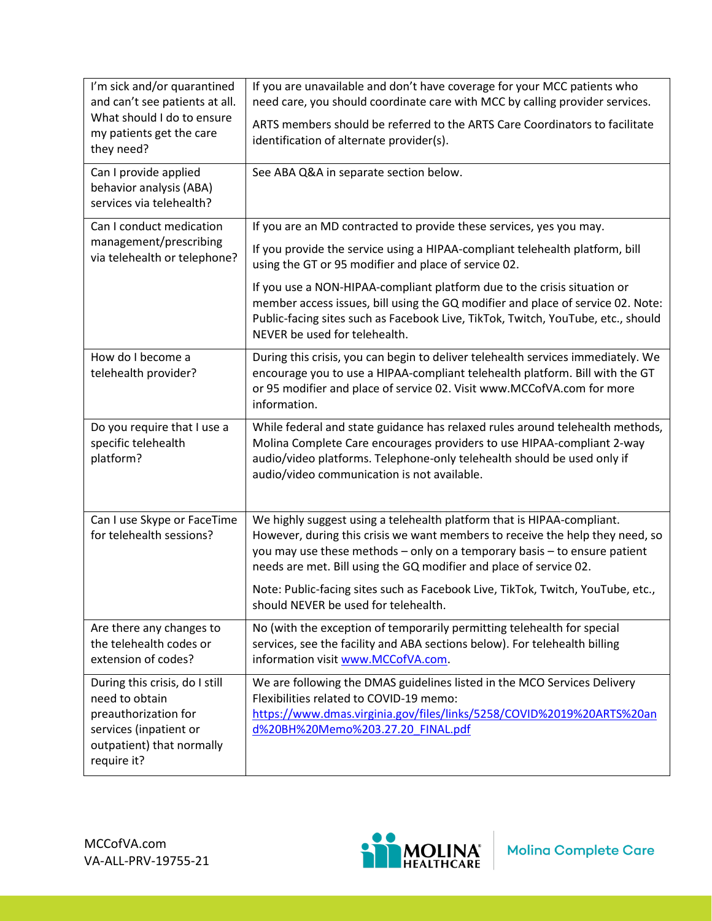| I'm sick and/or quarantined<br>and can't see patients at all.<br>What should I do to ensure<br>my patients get the care<br>they need?          | If you are unavailable and don't have coverage for your MCC patients who<br>need care, you should coordinate care with MCC by calling provider services.<br>ARTS members should be referred to the ARTS Care Coordinators to facilitate<br>identification of alternate provider(s).                        |
|------------------------------------------------------------------------------------------------------------------------------------------------|------------------------------------------------------------------------------------------------------------------------------------------------------------------------------------------------------------------------------------------------------------------------------------------------------------|
| Can I provide applied<br>behavior analysis (ABA)<br>services via telehealth?                                                                   | See ABA Q&A in separate section below.                                                                                                                                                                                                                                                                     |
| Can I conduct medication<br>management/prescribing<br>via telehealth or telephone?                                                             | If you are an MD contracted to provide these services, yes you may.<br>If you provide the service using a HIPAA-compliant telehealth platform, bill<br>using the GT or 95 modifier and place of service 02.                                                                                                |
|                                                                                                                                                | If you use a NON-HIPAA-compliant platform due to the crisis situation or<br>member access issues, bill using the GQ modifier and place of service 02. Note:<br>Public-facing sites such as Facebook Live, TikTok, Twitch, YouTube, etc., should<br>NEVER be used for telehealth.                           |
| How do I become a<br>telehealth provider?                                                                                                      | During this crisis, you can begin to deliver telehealth services immediately. We<br>encourage you to use a HIPAA-compliant telehealth platform. Bill with the GT<br>or 95 modifier and place of service 02. Visit www.MCCofVA.com for more<br>information.                                                 |
| Do you require that I use a<br>specific telehealth<br>platform?                                                                                | While federal and state guidance has relaxed rules around telehealth methods,<br>Molina Complete Care encourages providers to use HIPAA-compliant 2-way<br>audio/video platforms. Telephone-only telehealth should be used only if<br>audio/video communication is not available.                          |
| Can I use Skype or FaceTime<br>for telehealth sessions?                                                                                        | We highly suggest using a telehealth platform that is HIPAA-compliant.<br>However, during this crisis we want members to receive the help they need, so<br>you may use these methods - only on a temporary basis - to ensure patient<br>needs are met. Bill using the GQ modifier and place of service 02. |
|                                                                                                                                                | Note: Public-facing sites such as Facebook Live, TikTok, Twitch, YouTube, etc.,<br>should NEVER be used for telehealth.                                                                                                                                                                                    |
| Are there any changes to<br>the telehealth codes or<br>extension of codes?                                                                     | No (with the exception of temporarily permitting telehealth for special<br>services, see the facility and ABA sections below). For telehealth billing<br>information visit www.MCCofVA.com.                                                                                                                |
| During this crisis, do I still<br>need to obtain<br>preauthorization for<br>services (inpatient or<br>outpatient) that normally<br>require it? | We are following the DMAS guidelines listed in the MCO Services Delivery<br>Flexibilities related to COVID-19 memo:<br>https://www.dmas.virginia.gov/files/links/5258/COVID%2019%20ARTS%20an<br>d%20BH%20Memo%203.27.20 FINAL.pdf                                                                          |

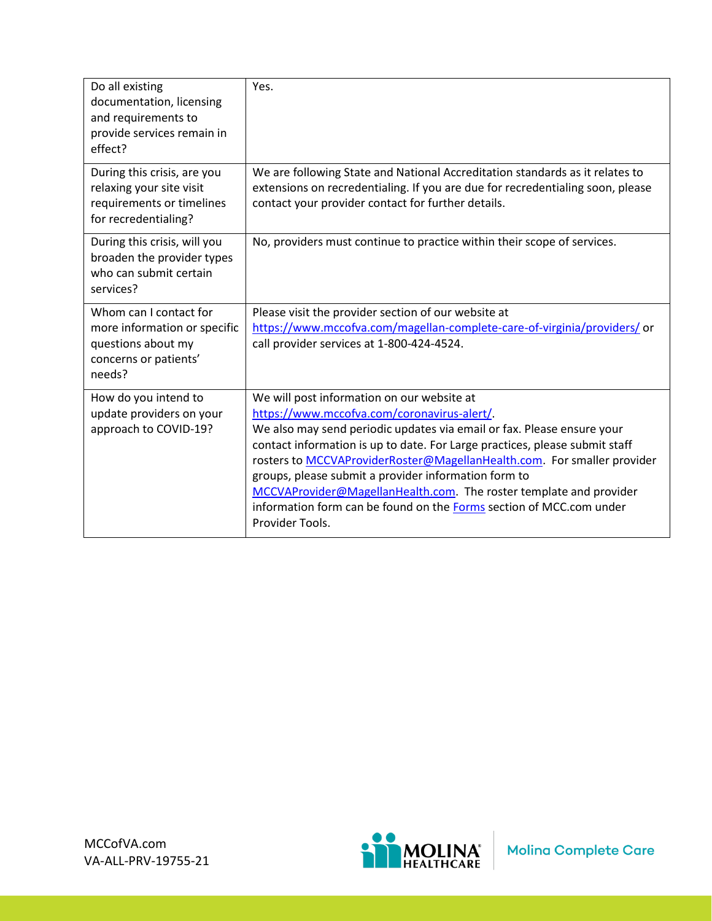| Do all existing<br>documentation, licensing<br>and requirements to<br>provide services remain in<br>effect?     | Yes.                                                                                                                                                                                                                                                                                                                                                                                                                                                                                                                                                  |
|-----------------------------------------------------------------------------------------------------------------|-------------------------------------------------------------------------------------------------------------------------------------------------------------------------------------------------------------------------------------------------------------------------------------------------------------------------------------------------------------------------------------------------------------------------------------------------------------------------------------------------------------------------------------------------------|
| During this crisis, are you<br>relaxing your site visit<br>requirements or timelines<br>for recredentialing?    | We are following State and National Accreditation standards as it relates to<br>extensions on recredentialing. If you are due for recredentialing soon, please<br>contact your provider contact for further details.                                                                                                                                                                                                                                                                                                                                  |
| During this crisis, will you<br>broaden the provider types<br>who can submit certain<br>services?               | No, providers must continue to practice within their scope of services.                                                                                                                                                                                                                                                                                                                                                                                                                                                                               |
| Whom can I contact for<br>more information or specific<br>questions about my<br>concerns or patients'<br>needs? | Please visit the provider section of our website at<br>https://www.mccofva.com/magellan-complete-care-of-virginia/providers/ or<br>call provider services at 1-800-424-4524.                                                                                                                                                                                                                                                                                                                                                                          |
| How do you intend to<br>update providers on your<br>approach to COVID-19?                                       | We will post information on our website at<br>https://www.mccofva.com/coronavirus-alert/.<br>We also may send periodic updates via email or fax. Please ensure your<br>contact information is up to date. For Large practices, please submit staff<br>rosters to MCCVAProviderRoster@MagellanHealth.com. For smaller provider<br>groups, please submit a provider information form to<br>MCCVAProvider@MagellanHealth.com. The roster template and provider<br>information form can be found on the Forms section of MCC.com under<br>Provider Tools. |

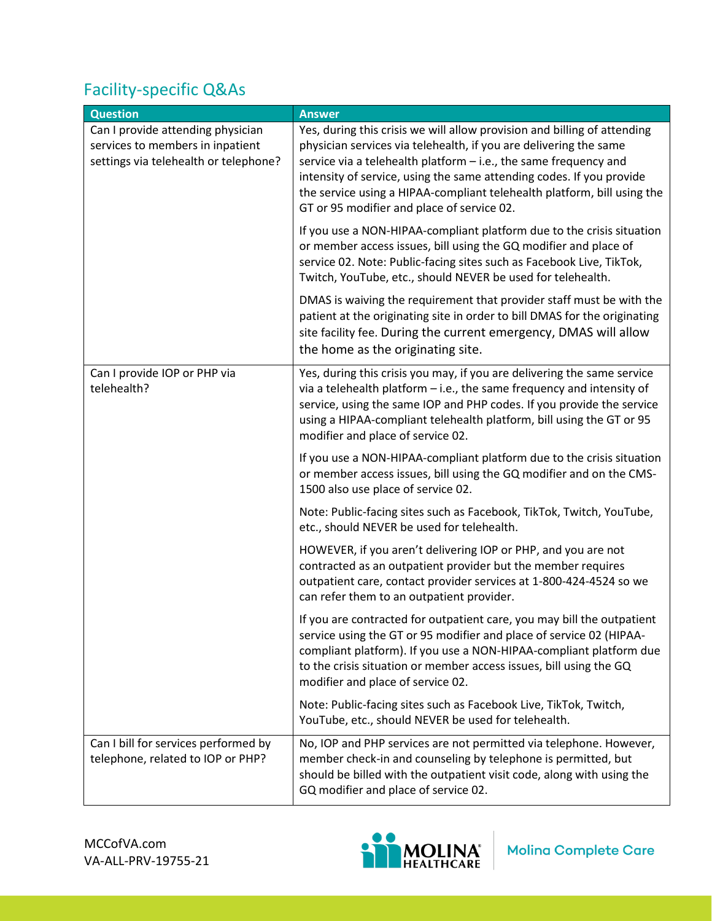## Facility-specific Q&As

| <b>Question</b>                                                                                                | <b>Answer</b>                                                                                                                                                                                                                                                                                                                                                                                                      |
|----------------------------------------------------------------------------------------------------------------|--------------------------------------------------------------------------------------------------------------------------------------------------------------------------------------------------------------------------------------------------------------------------------------------------------------------------------------------------------------------------------------------------------------------|
| Can I provide attending physician<br>services to members in inpatient<br>settings via telehealth or telephone? | Yes, during this crisis we will allow provision and billing of attending<br>physician services via telehealth, if you are delivering the same<br>service via a telehealth platform - i.e., the same frequency and<br>intensity of service, using the same attending codes. If you provide<br>the service using a HIPAA-compliant telehealth platform, bill using the<br>GT or 95 modifier and place of service 02. |
|                                                                                                                | If you use a NON-HIPAA-compliant platform due to the crisis situation<br>or member access issues, bill using the GQ modifier and place of<br>service 02. Note: Public-facing sites such as Facebook Live, TikTok,<br>Twitch, YouTube, etc., should NEVER be used for telehealth.                                                                                                                                   |
|                                                                                                                | DMAS is waiving the requirement that provider staff must be with the<br>patient at the originating site in order to bill DMAS for the originating<br>site facility fee. During the current emergency, DMAS will allow<br>the home as the originating site.                                                                                                                                                         |
| Can I provide IOP or PHP via<br>telehealth?                                                                    | Yes, during this crisis you may, if you are delivering the same service<br>via a telehealth platform - i.e., the same frequency and intensity of<br>service, using the same IOP and PHP codes. If you provide the service<br>using a HIPAA-compliant telehealth platform, bill using the GT or 95<br>modifier and place of service 02.                                                                             |
|                                                                                                                | If you use a NON-HIPAA-compliant platform due to the crisis situation<br>or member access issues, bill using the GQ modifier and on the CMS-<br>1500 also use place of service 02.                                                                                                                                                                                                                                 |
|                                                                                                                | Note: Public-facing sites such as Facebook, TikTok, Twitch, YouTube,<br>etc., should NEVER be used for telehealth.                                                                                                                                                                                                                                                                                                 |
|                                                                                                                | HOWEVER, if you aren't delivering IOP or PHP, and you are not<br>contracted as an outpatient provider but the member requires<br>outpatient care, contact provider services at 1-800-424-4524 so we<br>can refer them to an outpatient provider.                                                                                                                                                                   |
|                                                                                                                | If you are contracted for outpatient care, you may bill the outpatient<br>service using the GT or 95 modifier and place of service 02 (HIPAA-<br>compliant platform). If you use a NON-HIPAA-compliant platform due<br>to the crisis situation or member access issues, bill using the GQ<br>modifier and place of service 02.                                                                                     |
|                                                                                                                | Note: Public-facing sites such as Facebook Live, TikTok, Twitch,<br>YouTube, etc., should NEVER be used for telehealth.                                                                                                                                                                                                                                                                                            |
| Can I bill for services performed by<br>telephone, related to IOP or PHP?                                      | No, IOP and PHP services are not permitted via telephone. However,<br>member check-in and counseling by telephone is permitted, but<br>should be billed with the outpatient visit code, along with using the<br>GQ modifier and place of service 02.                                                                                                                                                               |



Molina Complete Care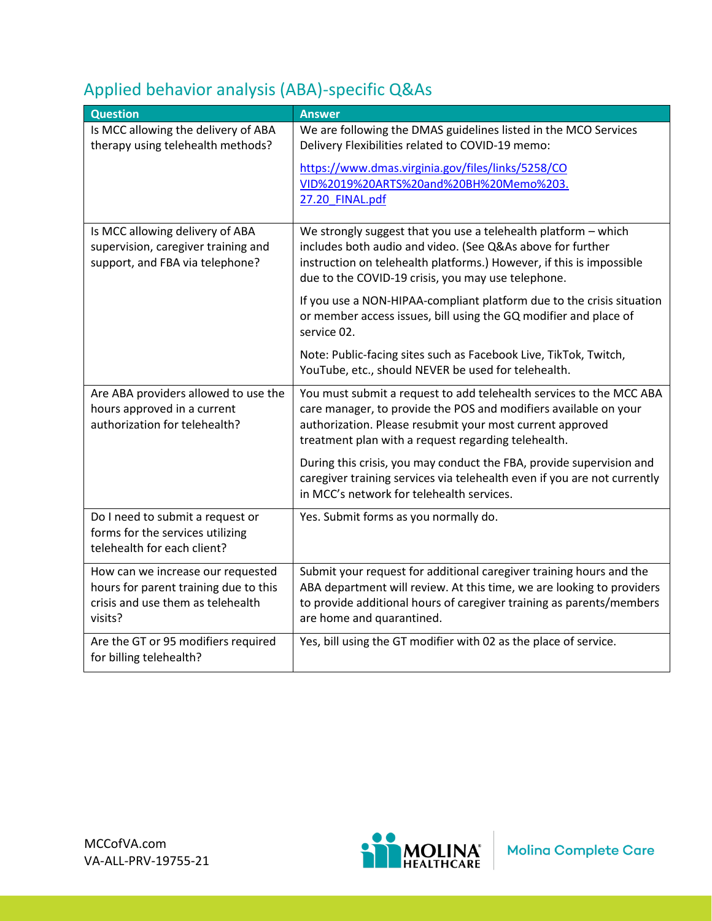| Applied behavior analysis (ABA)-specific Q&As |  |  |  |  |
|-----------------------------------------------|--|--|--|--|
|-----------------------------------------------|--|--|--|--|

| <b>Question</b>                                                                                           | <b>Answer</b>                                                                                                                                                                                                                                               |
|-----------------------------------------------------------------------------------------------------------|-------------------------------------------------------------------------------------------------------------------------------------------------------------------------------------------------------------------------------------------------------------|
| Is MCC allowing the delivery of ABA<br>therapy using telehealth methods?                                  | We are following the DMAS guidelines listed in the MCO Services<br>Delivery Flexibilities related to COVID-19 memo:                                                                                                                                         |
|                                                                                                           | https://www.dmas.virginia.gov/files/links/5258/CO                                                                                                                                                                                                           |
|                                                                                                           | VID%2019%20ARTS%20and%20BH%20Memo%203.<br>27.20 FINAL.pdf                                                                                                                                                                                                   |
|                                                                                                           |                                                                                                                                                                                                                                                             |
| Is MCC allowing delivery of ABA<br>supervision, caregiver training and<br>support, and FBA via telephone? | We strongly suggest that you use a telehealth platform - which<br>includes both audio and video. (See Q&As above for further<br>instruction on telehealth platforms.) However, if this is impossible<br>due to the COVID-19 crisis, you may use telephone.  |
|                                                                                                           | If you use a NON-HIPAA-compliant platform due to the crisis situation<br>or member access issues, bill using the GQ modifier and place of<br>service 02.                                                                                                    |
|                                                                                                           | Note: Public-facing sites such as Facebook Live, TikTok, Twitch,<br>YouTube, etc., should NEVER be used for telehealth.                                                                                                                                     |
| Are ABA providers allowed to use the<br>hours approved in a current<br>authorization for telehealth?      | You must submit a request to add telehealth services to the MCC ABA<br>care manager, to provide the POS and modifiers available on your<br>authorization. Please resubmit your most current approved<br>treatment plan with a request regarding telehealth. |
|                                                                                                           | During this crisis, you may conduct the FBA, provide supervision and<br>caregiver training services via telehealth even if you are not currently<br>in MCC's network for telehealth services.                                                               |
| Do I need to submit a request or<br>forms for the services utilizing<br>telehealth for each client?       | Yes. Submit forms as you normally do.                                                                                                                                                                                                                       |
| How can we increase our requested<br>hours for parent training due to this                                | Submit your request for additional caregiver training hours and the<br>ABA department will review. At this time, we are looking to providers                                                                                                                |
| crisis and use them as telehealth<br>visits?                                                              | to provide additional hours of caregiver training as parents/members<br>are home and quarantined.                                                                                                                                                           |
| Are the GT or 95 modifiers required<br>for billing telehealth?                                            | Yes, bill using the GT modifier with 02 as the place of service.                                                                                                                                                                                            |